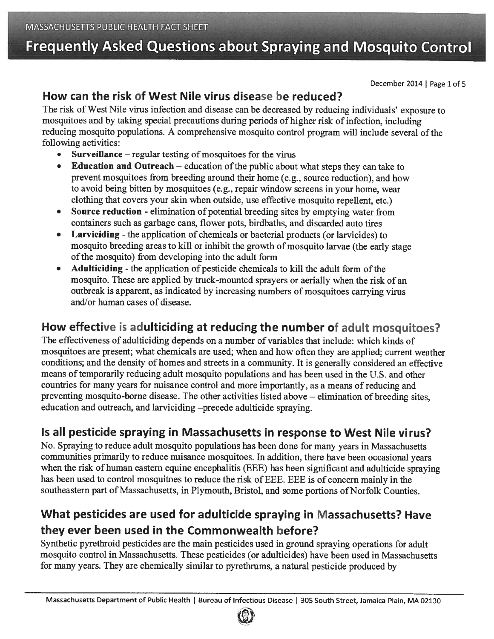# Frequently Asked Questions about Spraying and Mosquito Control

December 2014 | Page 1 of 5

#### How can the risk of West Nile virus disease be reduced?

The risk of West Nile virus infection and disease can be decreased by reducing individuals' exposure to mosquitoes and by taking special precautions during periods of higher risk of infection, including reducing mosquito populations. A comprehensive mosquito control program will include several of the following activities:

- •Surveillance  $-$  regular testing of mosquitoes for the virus
- •Education and Outreach  $-$  education of the public about what steps they can take to preven<sup>t</sup> mosquitoes from breeding around their home (e.g., source reduction), and how to avoid being bitten by mosquitoes (e.g., repair window screens in your home, wear clothing that covers your skin when outside, use effective mosquito repellent, etc.)
- • Source reduction - elimination of potential breeding sites by emptying water from containers such as garbage cans, flower pots, birdbaths, and discarded auto tires
- • Larviciding - the application of chemicals or bacterial products (or larvicides) to mosquito breeding areas to kill or inhibit the growth of mosquito larvae (the early stage of the mosquito) from developing into the adult form
- •Adulticiding - the application of pesticide chemicals to kill the adult form of the mosquito. These are applied by truck-mounted sprayers or aerially when the risk of an outbreak is apparent, as indicated by increasing numbers of mosquitoes carrying virus and/or human cases of disease.

### How effective is adulticiding at reducing the number of adult mosquitoes?

The effectiveness of adulticiding depends on <sup>a</sup> number of variables that include: which kinds of mosquitoes are present; what chemicals are used; when and how often they are applied; current weather conditions; and the density of homes and streets in <sup>a</sup> community. It is generally considered an effective means of temporarily reducing adult mosquito populations and has been used in the U.S. and other countries for many years for nuisance control and more importantly, as <sup>a</sup> means of reducing and preventing mosquito-borne disease. The other activities listed above — elimination of breeding sites, education and outreach, and larviciding —precede adulticide spraying.

## Is all pesticide spraying in Massachusetts in response to West Nile virus?

No. Spraying to reduce adult mosquito populations has been done for many years in Massachusetts communities primarily to reduce nuisance mosquitoes. In addition, there have been occasional years when the risk of human eastern equine encephalitis (EEE) has been significant and adulticide spraying has been used to control mosquitoes to reduce the risk of EEE. EEE is of concern mainly in the southeastern part of Massachusetts, in Plymouth, Bristol, and some portions of Norfolk Counties.

## What pesticides are used for adulticide spraying in Massachusetts? Have they ever been used in the Commonwealth before?

Synthetic pyrethroid pesticides are the main pesticides used in groun<sup>d</sup> spraying operations for adult mosquito control in Massachusetts. These pesticides (or adulticides) have been used in Massachusetts for many years. They are chemically similar to pyrethrums, <sup>a</sup> natural pesticide produced by

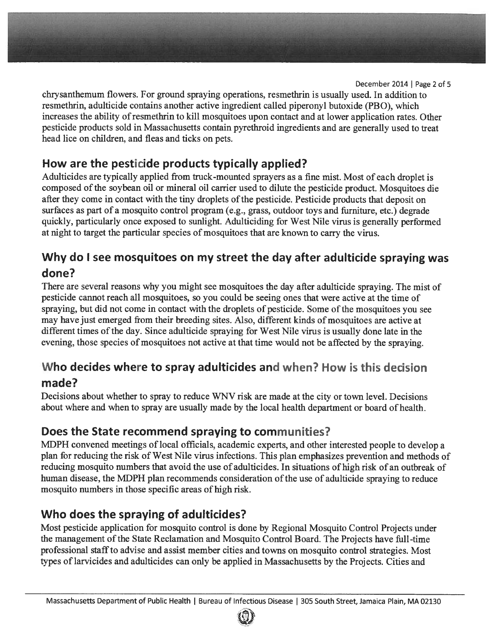December 2014 | Page 2 of 5

chrysanthemum flowers. For ground spraying operations, resmethrin is usually used. In addition to resmethrin, adulticide contains another active ingredient called piperonyl butoxide (PB 0), which increases the ability of resmethrin to kill mosquitoes upon contact and at lower application rates. Other pesticide products sold in Massachusetts contain pyrethroid ingredients and are generally used to treat head lice on children, and fleas and ticks on pets.

### How are the pesticide products typically applied?

Adulticides are typically applied from truck-mounted sprayers as <sup>a</sup> fine mist. Most of each droplet is composed ofthe soybean oil or mineral oil carrier used to dilute the pesticide product. Mosquitoes die after they come in contact with the tiny droplets of the pesticide. Pesticide products that deposit on surfaces as par<sup>t</sup> of <sup>a</sup> mosquito control program (e.g., grass, outdoor toys and furniture, etc.) degrade quickly, particularly once exposed to sunlight. Adulticiding for West Nile virus is generally performed at night to target the particular species of mosquitoes that are known to carry the virus.

#### Why do I see mosquitoes on my street the day after adulticide spraying was done?

There are several reasons why you might see mosquitoes the day after adulticide spraying. The mist of pesticide cannot reach all mosquitoes, so you could be seeing ones that were active at the time of spraying, but did not come in contact with the droplets of pesticide. Some of the mosquitoes you see may have just emerged from their breeding sites. Also, different kinds of mosquitoes are active at different times of the day. Since adulticide spraying for West Nile virus is usually done late in the evening, those species of mosquitoes not active at that time would not be affected by the spraying.

#### Who decides where to spray adulticides and when? How is this decision made?

Decisions about whether to spray to reduce WNV risk are made at the city or town level. Decisions about where and when to spray are usually made by the local health department or board of health.

#### Does the State recommend spraying to communities?

MDPH convened meetings of local officials, academic experts, and other interested people to develop <sup>a</sup> <sup>p</sup>lan for reducing the risk of West Nile virus infections. This <sup>p</sup>lan emphasizes prevention and methods of reducing mosquito numbers that avoid the use of adulticides. In situations of high risk of an outbreak of human disease, the MDPH plan recommends consideration ofthe use of adulticide spraying to reduce mosquito numbers in those specific areas of high risk.

### Who does the spraying of adulticides?

Most pesticide application for mosquito control is done by Regional Mosquito Control Projects under the managemen<sup>t</sup> ofthe State Reclamation and Mosquito Control Board. The Projects have full-time professional staffto advise and assist member cities and towns on mosquito control strategies. Most types of larvicides and adulticides can only be applied in Massachusetts by the Projects. Cities and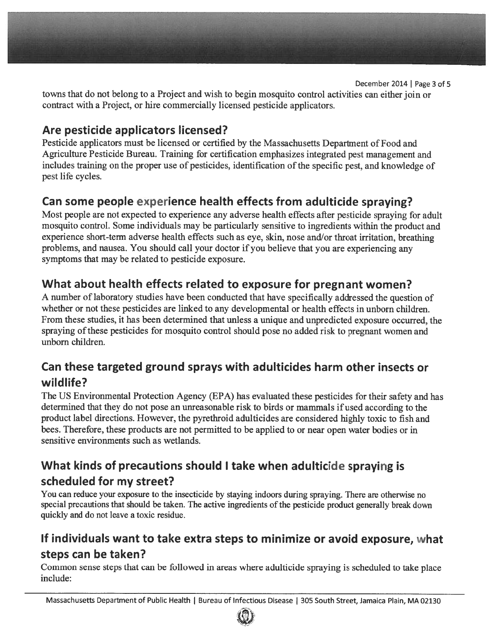December 2014 | Page 3 of 5 towns that do not belong to <sup>a</sup> Project and wish to begin mosquito control activities can either join or contract with <sup>a</sup> Project, or hire commercially licensed pesticide applicators.

#### Are pesticide applicators licensed?

Pesticide applicators must be licensed or certified by the Massachusetts Department of Food and Agriculture Pesticide Bureau. Training for certification emphasizes integrated pes<sup>t</sup> managemen<sup>t</sup> and includes training on the proper use of pesticides, identification of the specific pest, and knowledge of pes<sup>t</sup> life cycles.

### Can some people experience health effects from adulticide spraying?

Most people are not expected to experience any adverse health effects after pesticide spraying for adult mosquito control. Some individuals may be particularly sensitive to ingredients within the product and experience short-term adverse health effects such as eye, skin, nose and/or throat irritation, breathing problems, and nausea. You should call your doctor if you believe that you are experiencing any symptoms that may be related to pesticide exposure.

#### What about health effects related to exposure for pregnan<sup>t</sup> women?

<sup>A</sup> number of laboratory studies have been conducted that have specifically addressed the question of whether or not these pesticides are linked to any developmental or health effects in unborn children. From these studies, it has been determined that unless <sup>a</sup> unique and unpredicted exposure occurred, the spraying ofthese pesticides for mosquito control should pose no added risk to pregnan<sup>t</sup> women and unborn children.

#### Can these targeted ground sprays with adulticides harm other insects or wildlife?

The US Environmental Protection Agency (EPA) has evaluated these pesticides for their safety and has determined that they do not pose an unreasonable risk to birds or mammals if used according to the product label directions. However, the pyrethroid adulticides are considered highly toxic to fish and bees. Therefore, these products are not permitted to be applied to or near open water bodies or in sensitive environments such as wetlands.

### What kinds of precautions should <sup>I</sup> take when adulticide spraying is scheduled for my street?

You can reduce your exposure to the insecticide by staying indoors during spraying. There are otherwise no special precautions that should be taken. The active ingredients of the pesticide product generally break down quickly and do not leave <sup>a</sup> toxic residue.

#### If individuals want to take extra steps to minimize or avoid exposure, what steps can be taken?

Common sense steps that can be followed in areas where adulticide spraying is scheduled to take <sup>p</sup>lace include: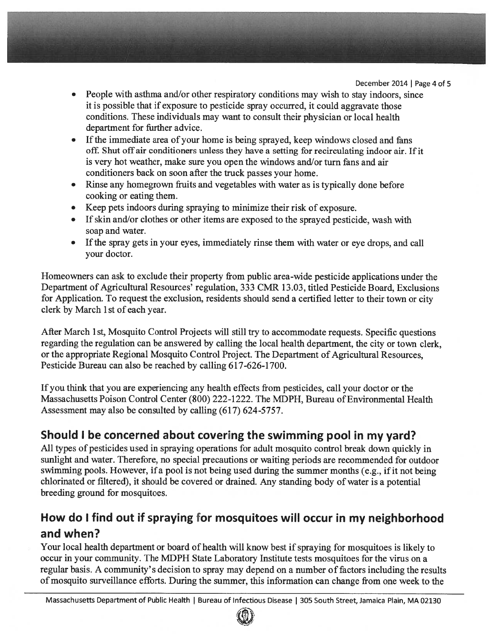December 2014 | Page 4 of 5

- People with asthma and/or other respiratory conditions may wish to stay indoors, since it is possible that if exposure to pesticide spray occurred, it could aggravate those conditions. These individuals may want to consult their physician or local health department for further advice.
- •If the immediate area of your home is being sprayed, keep windows closed and fans off. Shut off air conditioners unless they have a setting for recirculating indoor air. If it is very hot weather, make sure you open the windows and/or turn fans and air conditioners back on soon after the truck passes your home.
- Rinse any homegrown fruits and vegetables with water as is typically done before cooking or eating them.
- Keep pets indoors during spraying to minimize their risk of exposure.
- If skin and/or clothes or other items are exposed to the sprayed pesticide, wash with soap and water.
- If the spray gets in your eyes, immediately rinse them with water or eye drops, and call your doctor.

Homeowners can ask to exclude their property from public area-wide pesticide applications under the Department of Agricultural Resources' regulation, 333 CMR 13.03, titled Pesticide Board, Exclusions for Application. To reques<sup>t</sup> the exclusion, residents should send <sup>a</sup> certified letter to their town or city clerk by March 1st of each year.

After March 1st, Mosquito Control Projects will still try to accommodate requests. Specific questions regarding the regulation can be answered by calling the local health department, the city or town clerk, or the appropriate Regional Mosquito Control Project. The Department of Agricultural Resources, Pesticide Bureau can also be reached by calling 617-626-1700.

If you think that you are experiencing any health effects from pesticides, call your doctor or the Massachusetts Poison Control Center (800) 222-1222. The MDPH, Bureau of Environmental Health Assessment may also be consulted by calling (617) 624-5757.

#### Should I be concerned about covering the swimming pool in my yard?

All types of pesticides used in spraying operations for adult mosquito control break down quickly in sunlight and water. Therefore, no special precautions or waiting periods are recommended for outdoor swimming pools. However, if a pool is not being used during the summer months (e.g., if it not being chlorinated or filtered), it should be covered or drained. Any standing body of water is <sup>a</sup> potential breeding ground for mosquitoes.

### How do I find out if spraying for mosquitoes will occur in my neighborhood and when?

Your local health department or board of health will know best if spraying for mosquitoes is likely to occur in your community. The MDPH State Laboratory Institute tests mosquitoes for the virus on <sup>a</sup> regular basis. A community's decision to spray may depend on a number of factors including the results of mosquito surveillance efforts. During the summer, this information can change from one week to the